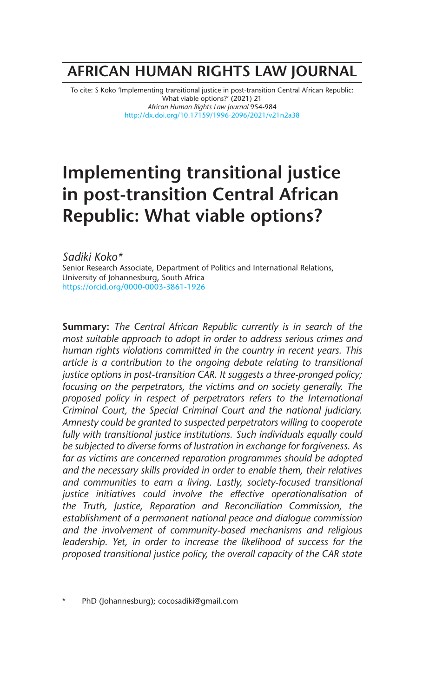# **AFRICAN HUMAN RIGHTS LAW JOURNAL**

To cite: S Koko 'Implementing transitional justice in post-transition Central African Republic: What viable options?' (2021) 21 *African Human Rights Law Journal* 954-984 http://dx.doi.org/10.17159/1996-2096/2021/v21n2a38

# **Implementing transitional justice in post-transition Central African Republic: What viable options?**

*Sadiki Koko\** Senior Research Associate, Department of Politics and International Relations, University of Johannesburg, South Africa https://orcid.org/0000-0003-3861-1926

**Summary:** *The Central African Republic currently is in search of the most suitable approach to adopt in order to address serious crimes and human rights violations committed in the country in recent years. This article is a contribution to the ongoing debate relating to transitional justice options in post-transition CAR. It suggests a three-pronged policy; focusing on the perpetrators, the victims and on society generally. The proposed policy in respect of perpetrators refers to the International Criminal Court, the Special Criminal Court and the national judiciary. Amnesty could be granted to suspected perpetrators willing to cooperate fully with transitional justice institutions. Such individuals equally could be subjected to diverse forms of lustration in exchange for forgiveness. As far as victims are concerned reparation programmes should be adopted and the necessary skills provided in order to enable them, their relatives and communities to earn a living. Lastly, society-focused transitional justice initiatives could involve the effective operationalisation of the Truth, Justice, Reparation and Reconciliation Commission, the establishment of a permanent national peace and dialogue commission and the involvement of community-based mechanisms and religious leadership. Yet, in order to increase the likelihood of success for the proposed transitional justice policy, the overall capacity of the CAR state* 

PhD (Johannesburg); cocosadiki@gmail.com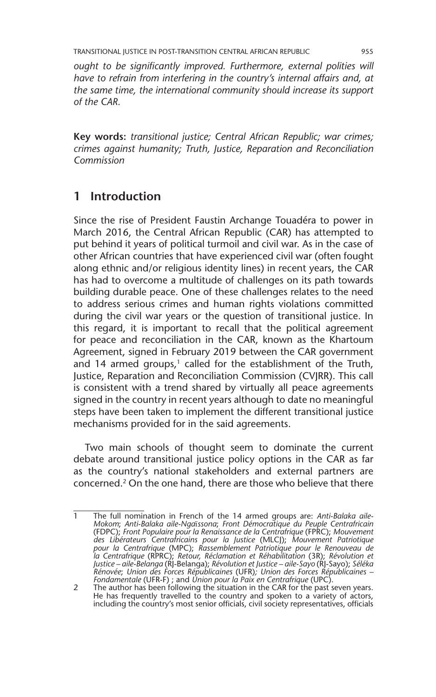*ought to be significantly improved. Furthermore, external polities will have to refrain from interfering in the country's internal affairs and, at the same time, the international community should increase its support of the CAR.*

**Key words:** *transitional justice; Central African Republic; war crimes; crimes against humanity; Truth, Justice, Reparation and Reconciliation Commission* 

# **1 Introduction**

Since the rise of President Faustin Archange Touadéra to power in March 2016, the Central African Republic (CAR) has attempted to put behind it years of political turmoil and civil war. As in the case of other African countries that have experienced civil war (often fought along ethnic and/or religious identity lines) in recent years, the CAR has had to overcome a multitude of challenges on its path towards building durable peace. One of these challenges relates to the need to address serious crimes and human rights violations committed during the civil war years or the question of transitional justice. In this regard, it is important to recall that the political agreement for peace and reconciliation in the CAR, known as the Khartoum Agreement, signed in February 2019 between the CAR government and 14 armed groups, $1$  called for the establishment of the Truth, Justice, Reparation and Reconciliation Commission (CVJRR). This call is consistent with a trend shared by virtually all peace agreements signed in the country in recent years although to date no meaningful steps have been taken to implement the different transitional justice mechanisms provided for in the said agreements.

Two main schools of thought seem to dominate the current debate around transitional justice policy options in the CAR as far as the country's national stakeholders and external partners are concerned.2 On the one hand, there are those who believe that there

<sup>1</sup> The full nomination in French of the 14 armed groups are: *Anti-Balaka aile-Mokom*; *Anti-Balaka aile-Nga*ї*ssona*; *Front Démocratique du Peuple Centrafricain* (FDPC); *Front Populaire pour la Renaissance de la Centrafrique* (FPRC); *Mouvement des Libérateurs Centrafricains pour la Justice* (MLCJ); *Mouvement Patriotique pour la Centrafrique* (MPC); *Rassemblement Patriotique pour le Renouveau de la Centrafrique* (RPRC); *Retour, Réclamation et Réhabilitation* (3R); *Révolution et*  Justice – aile-Belanga (RJ-Belanga); Révolution et Justice – aile-Sayo (RJ-Sayo); Séléka<br>Rénovée; Union des Forces Républicaines (UFR); Union des Forces Républicaines –<br>Fondamentale (UFR-F) ; and Union pour la Paix en Cent

<sup>2</sup> The author has been following the situation in the CAR for the past seven years. He has frequently travelled to the country and spoken to a variety of actors, including the country's most senior officials, civil society representatives, officials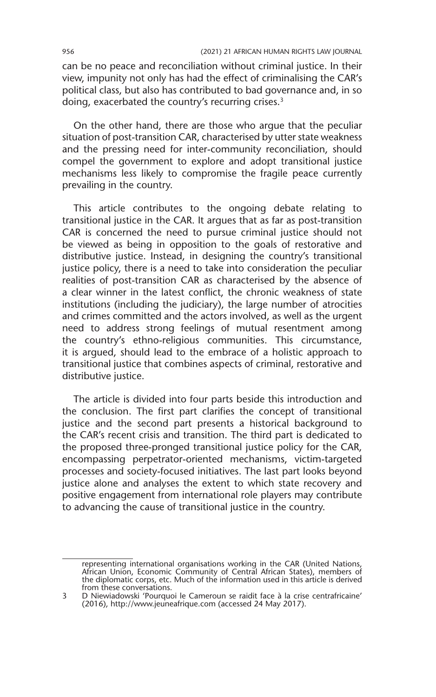can be no peace and reconciliation without criminal justice. In their view, impunity not only has had the effect of criminalising the CAR's political class, but also has contributed to bad governance and, in so doing, exacerbated the country's recurring crises.<sup>3</sup>

On the other hand, there are those who argue that the peculiar situation of post-transition CAR, characterised by utter state weakness and the pressing need for inter-community reconciliation, should compel the government to explore and adopt transitional justice mechanisms less likely to compromise the fragile peace currently prevailing in the country.

This article contributes to the ongoing debate relating to transitional justice in the CAR. It argues that as far as post-transition CAR is concerned the need to pursue criminal justice should not be viewed as being in opposition to the goals of restorative and distributive justice. Instead, in designing the country's transitional justice policy, there is a need to take into consideration the peculiar realities of post-transition CAR as characterised by the absence of a clear winner in the latest conflict, the chronic weakness of state institutions (including the judiciary), the large number of atrocities and crimes committed and the actors involved, as well as the urgent need to address strong feelings of mutual resentment among the country's ethno-religious communities. This circumstance, it is argued, should lead to the embrace of a holistic approach to transitional justice that combines aspects of criminal, restorative and distributive justice.

The article is divided into four parts beside this introduction and the conclusion. The first part clarifies the concept of transitional justice and the second part presents a historical background to the CAR's recent crisis and transition. The third part is dedicated to the proposed three-pronged transitional justice policy for the CAR, encompassing perpetrator-oriented mechanisms, victim-targeted processes and society-focused initiatives. The last part looks beyond justice alone and analyses the extent to which state recovery and positive engagement from international role players may contribute to advancing the cause of transitional justice in the country.

representing international organisations working in the CAR (United Nations,<br>African Union, Economic Community of Central African States), members of<br>the diplomatic corps, etc. Much of the information used in this article from these conversations.

<sup>3</sup> D Niewiadowski 'Pourquoi le Cameroun se raidit face à la crise centrafricaine' (2016), http://www.jeuneafrique.com (accessed 24 May 2017).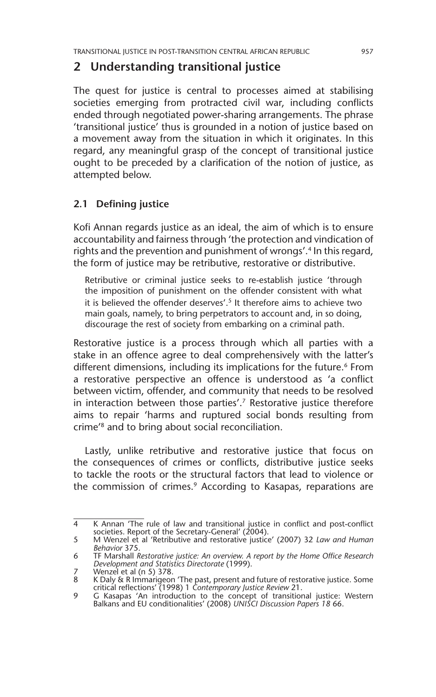# **2 Understanding transitional justice**

The quest for justice is central to processes aimed at stabilising societies emerging from protracted civil war, including conflicts ended through negotiated power-sharing arrangements. The phrase 'transitional justice' thus is grounded in a notion of justice based on a movement away from the situation in which it originates. In this regard, any meaningful grasp of the concept of transitional justice ought to be preceded by a clarification of the notion of justice, as attempted below.

## **2.1 Defining justice**

Kofi Annan regards justice as an ideal, the aim of which is to ensure accountability and fairness through 'the protection and vindication of rights and the prevention and punishment of wrongs'.<sup>4</sup> In this regard, the form of justice may be retributive, restorative or distributive.

Retributive or criminal justice seeks to re-establish justice 'through the imposition of punishment on the offender consistent with what it is believed the offender deserves'.<sup>5</sup> It therefore aims to achieve two main goals, namely, to bring perpetrators to account and, in so doing, discourage the rest of society from embarking on a criminal path.

Restorative justice is a process through which all parties with a stake in an offence agree to deal comprehensively with the latter's different dimensions, including its implications for the future.<sup>6</sup> From a restorative perspective an offence is understood as 'a conflict between victim, offender, and community that needs to be resolved in interaction between those parties'.<sup>7</sup> Restorative justice therefore aims to repair 'harms and ruptured social bonds resulting from crime'8 and to bring about social reconciliation.

Lastly, unlike retributive and restorative justice that focus on the consequences of crimes or conflicts, distributive justice seeks to tackle the roots or the structural factors that lead to violence or the commission of crimes.<sup>9</sup> According to Kasapas, reparations are

<sup>4</sup> K Annan 'The rule of law and transitional justice in conflict and post-conflict societies. Report of the Secretary-General' (2004).

<sup>5</sup> M Wenzel et al 'Retributive and restorative justice' (2007) 32 *Law and Human Behavior* 375.

<sup>6</sup> TF Marshall *Restorative justice: An overview. A report by the Home Office Research Development and Statistics Directorate* (1999).

<sup>7</sup> Wenzel et al (n 5) 378.<br>8 K Daly & R Immarigeor

<sup>8</sup> K Daly & R Immarigeon 'The past, present and future of restorative justice. Some critical reflections' (1998) 1 *Contemporary Justice Review* 21.

<sup>9</sup> G Kasapas 'An introduction to the concept of transitional justice: Western Balkans and EU conditionalities' (2008) *UNISCI Discussion Papers 18* 66.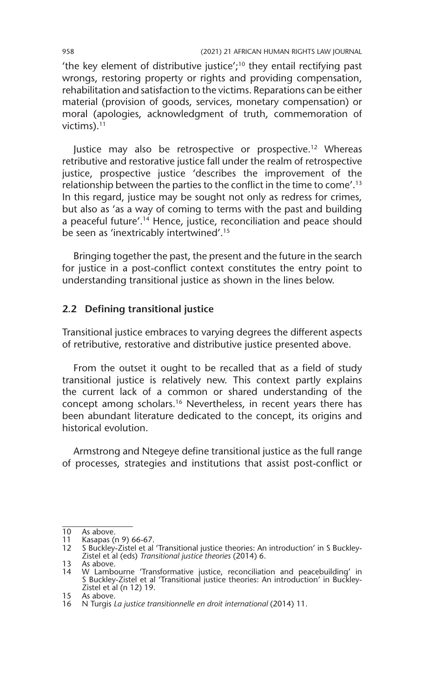'the key element of distributive justice';10 they entail rectifying past wrongs, restoring property or rights and providing compensation, rehabilitation and satisfaction to the victims. Reparations can be either material (provision of goods, services, monetary compensation) or moral (apologies, acknowledgment of truth, commemoration of victims). $11$ 

Justice may also be retrospective or prospective.<sup>12</sup> Whereas retributive and restorative justice fall under the realm of retrospective justice, prospective justice 'describes the improvement of the relationship between the parties to the conflict in the time to come'.13 In this regard, justice may be sought not only as redress for crimes, but also as 'as a way of coming to terms with the past and building a peaceful future'.<sup>14</sup> Hence, justice, reconciliation and peace should be seen as 'inextricably intertwined'.15

Bringing together the past, the present and the future in the search for justice in a post-conflict context constitutes the entry point to understanding transitional justice as shown in the lines below.

#### **2.2 Defining transitional justice**

Transitional justice embraces to varying degrees the different aspects of retributive, restorative and distributive justice presented above.

From the outset it ought to be recalled that as a field of study transitional justice is relatively new. This context partly explains the current lack of a common or shared understanding of the concept among scholars.16 Nevertheless, in recent years there has been abundant literature dedicated to the concept, its origins and historical evolution.

Armstrong and Ntegeye define transitional justice as the full range of processes, strategies and institutions that assist post-conflict or

<sup>10</sup> As above.<br>11 Kasapas (n 9) 66-67. 11 Kasapas (n 9) 66-67.

<sup>12</sup> S Buckley-Zistel et al 'Transitional justice theories: An introduction' in S Buckley-Zistel et al (eds) *Transitional justice theories* (2014) 6.

<sup>13</sup> As above. 14 W Lambourne 'Transformative justice, reconciliation and peacebuilding' in S Buckley-Zistel et al 'Transitional justice theories: An introduction' in Buckley-Zistel et al (n 12) 19.

<sup>15</sup> As above.

<sup>16</sup> N Turgis *La justice transitionnelle en droit international* (2014) 11.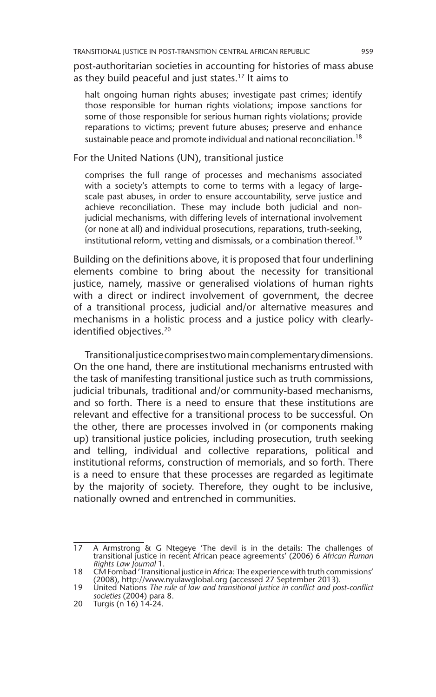post-authoritarian societies in accounting for histories of mass abuse as they build peaceful and just states.17 It aims to

halt ongoing human rights abuses; investigate past crimes; identify those responsible for human rights violations; impose sanctions for some of those responsible for serious human rights violations; provide reparations to victims; prevent future abuses; preserve and enhance sustainable peace and promote individual and national reconciliation.<sup>18</sup>

For the United Nations (UN), transitional justice

comprises the full range of processes and mechanisms associated with a society's attempts to come to terms with a legacy of largescale past abuses, in order to ensure accountability, serve justice and achieve reconciliation. These may include both judicial and nonjudicial mechanisms, with differing levels of international involvement (or none at all) and individual prosecutions, reparations, truth-seeking, institutional reform, vetting and dismissals, or a combination thereof.<sup>19</sup>

Building on the definitions above, it is proposed that four underlining elements combine to bring about the necessity for transitional justice, namely, massive or generalised violations of human rights with a direct or indirect involvement of government, the decree of a transitional process, judicial and/or alternative measures and mechanisms in a holistic process and a justice policy with clearlyidentified objectives.<sup>20</sup>

Transitional justice comprises two main complementary dimensions. On the one hand, there are institutional mechanisms entrusted with the task of manifesting transitional justice such as truth commissions, judicial tribunals, traditional and/or community-based mechanisms, and so forth. There is a need to ensure that these institutions are relevant and effective for a transitional process to be successful. On the other, there are processes involved in (or components making up) transitional justice policies, including prosecution, truth seeking and telling, individual and collective reparations, political and institutional reforms, construction of memorials, and so forth. There is a need to ensure that these processes are regarded as legitimate by the majority of society. Therefore, they ought to be inclusive, nationally owned and entrenched in communities.

<sup>17</sup> A Armstrong & G Ntegeye 'The devil is in the details: The challenges of transitional justice in recent African peace agreements' (2006) 6 *African Human Rights Law Journal* 1.

<sup>18</sup> CM Fombad 'Transitional justice in Africa: The experience with truth commissions' (2008), http://www.nyulawglobal.org (accessed 27 September 2013).

<sup>19</sup> United Nations *The rule of law and transitional justice in conflict and post-conflict societies* (2004) para 8.

<sup>20</sup> Turgis (n 16) 14-24.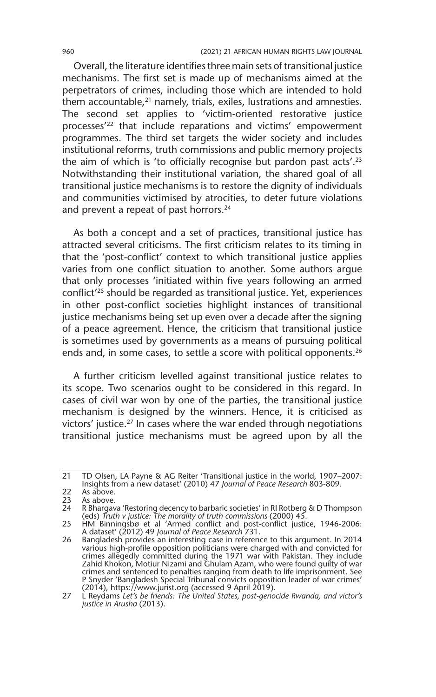Overall, the literature identifies three main sets of transitional justice mechanisms. The first set is made up of mechanisms aimed at the perpetrators of crimes, including those which are intended to hold them accountable, $21$  namely, trials, exiles, lustrations and amnesties. The second set applies to 'victim-oriented restorative justice processes'22 that include reparations and victims' empowerment programmes. The third set targets the wider society and includes institutional reforms, truth commissions and public memory projects the aim of which is 'to officially recognise but pardon past acts'.<sup>23</sup> Notwithstanding their institutional variation, the shared goal of all transitional justice mechanisms is to restore the dignity of individuals and communities victimised by atrocities, to deter future violations and prevent a repeat of past horrors.<sup>24</sup>

As both a concept and a set of practices, transitional justice has attracted several criticisms. The first criticism relates to its timing in that the 'post-conflict' context to which transitional justice applies varies from one conflict situation to another. Some authors argue that only processes 'initiated within five years following an armed conflict'25 should be regarded as transitional justice. Yet, experiences in other post-conflict societies highlight instances of transitional justice mechanisms being set up even over a decade after the signing of a peace agreement. Hence, the criticism that transitional justice is sometimes used by governments as a means of pursuing political ends and, in some cases, to settle a score with political opponents.<sup>26</sup>

A further criticism levelled against transitional justice relates to its scope. Two scenarios ought to be considered in this regard. In cases of civil war won by one of the parties, the transitional justice mechanism is designed by the winners. Hence, it is criticised as victors' justice.27 In cases where the war ended through negotiations transitional justice mechanisms must be agreed upon by all the

<sup>21</sup> TD Olsen, LA Payne & AG Reiter 'Transitional justice in the world, 1907–2007: Insights from a new dataset' (2010) 47 *Journal of Peace Research* 803-809.

<sup>22</sup> As above.<br>23 As above.

As above.

<sup>24</sup> R Bhargava 'Restoring decency to barbaric societies' in RI Rotberg & D Thompson (eds) *Truth v justice: The morality of truth commissions* (2000) 45.

<sup>25</sup> HM Binningsbø et al 'Armed conflict and post-conflict justice, 1946-2006: A dataset' (2012) 49 *Journal of Peace Research* 731.

<sup>26</sup> Bangladesh provides an interesting case in reference to this argument. In 2014 various high-profile opposition politicians were charged with and convicted for crimes allegedly committed during the 1971 war with Pakistan. They include Zahid Khokon, Motiur Nizami and Ghulam Azam, who were found guilty of war<br>crimes and sentenced to penalties ranging from death to life imprisonment. See<br>P Snyder 'Bangladesh Special Tribunal convicts opposition leader of w (2014), https://www.jurist.org (accessed 9 April 2019).

<sup>27</sup> L Reydams *Let's be friends: The United States, post-genocide Rwanda, and victor's justice in Arusha* (2013).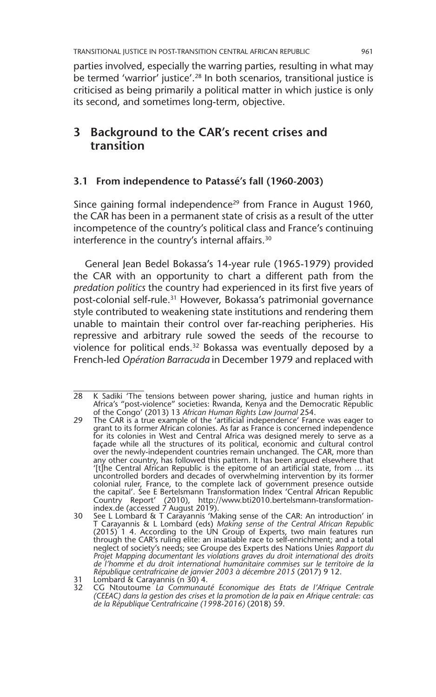parties involved, especially the warring parties, resulting in what may be termed 'warrior' justice'.<sup>28</sup> In both scenarios, transitional justice is criticised as being primarily a political matter in which justice is only its second, and sometimes long-term, objective.

# **3 Background to the CAR's recent crises and transition**

## **3.1 From independence to Patassé's fall (1960-2003)**

Since gaining formal independence<sup>29</sup> from France in August 1960, the CAR has been in a permanent state of crisis as a result of the utter incompetence of the country's political class and France's continuing interference in the country's internal affairs.<sup>30</sup>

General Jean Bedel Bokassa's 14-year rule (1965-1979) provided the CAR with an opportunity to chart a different path from the *predation politics* the country had experienced in its first five years of post-colonial self-rule.<sup>31</sup> However, Bokassa's patrimonial governance style contributed to weakening state institutions and rendering them unable to maintain their control over far-reaching peripheries. His repressive and arbitrary rule sowed the seeds of the recourse to violence for political ends.<sup>32</sup> Bokassa was eventually deposed by a French-led *Opération Barracuda* in December 1979 and replaced with

<sup>28</sup> K Sadiki 'The tensions between power sharing, justice and human rights in Africa's "post-violence" societies: Rwanda, Kenya and the Democratic Republic of the Congo' (2013) 13 *African Human Rights Law Journal* 254.

<sup>29</sup> The CAR is a true example of the 'artificial independence' France was eager to grant to its former African colonies. As far as France is concerned independence for its colonies in West and Central Africa was designed merely to serve as a façade while all the structures of its political, economic and cultural control over the newly-independent countries remain unchanged. The CAR, more than any other country, has followed this pattern. It has been argued elsewhere that '[t]he Central African Republic is the epitome of an artificial state, from … its uncontrolled borders and decades of overwhelming intervention by its former colonial ruler, France, to the complete lack of government presence outside the capital'. See E Bertelsmann Transformation Index 'Central African Republic Country Report' (2010), http://www.bti2010.bertelsmann-transformationindex.de (accessed 7 August 2019).

<sup>30</sup> See L Lombard & T Carayannis 'Making sense of the CAR: An introduction' in T Carayannis & L Lombard (eds) *Making sense of the Central African Republic* (2015) 1 4. According to the UN Group of Experts, two main features run through the CAR's ruling elite: an insatiable race to self-enrichment; and a total neglect of society's needs; see Groupe des Experts des Nations Unies *Rapport du Projet Mapping documentant les violations graves du droit international des droits de l'homme et du droit international humanitaire commises sur le territoire de la République centrafricaine de janvier 2003 à décembre 2015* (2017) 9 12. 31 Lombard & Carayannis (n 30) 4.

<sup>32</sup> CG Ntoutoume *La Communauté Economique des Etats de l'Afrique Centrale (CEEAC) dans la gestion des crises et la promotion de la paix en Afrique centrale: cas de la République Centrafricaine (1998-2016)* (2018) 59.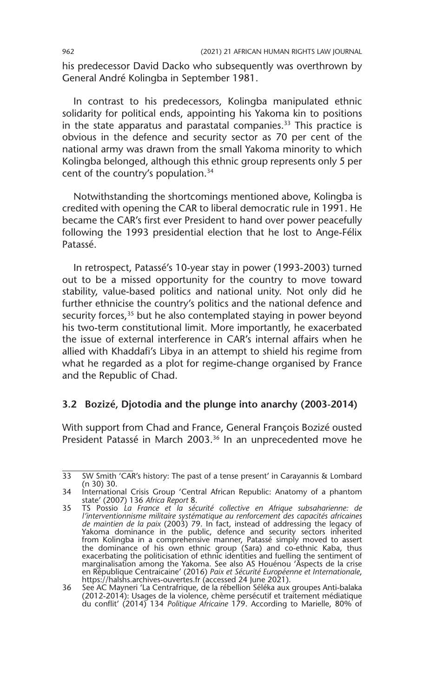his predecessor David Dacko who subsequently was overthrown by General André Kolingba in September 1981.

In contrast to his predecessors, Kolingba manipulated ethnic solidarity for political ends, appointing his Yakoma kin to positions in the state apparatus and parastatal companies.33 This practice is obvious in the defence and security sector as 70 per cent of the national army was drawn from the small Yakoma minority to which Kolingba belonged, although this ethnic group represents only 5 per cent of the country's population.34

Notwithstanding the shortcomings mentioned above, Kolingba is credited with opening the CAR to liberal democratic rule in 1991. He became the CAR's first ever President to hand over power peacefully following the 1993 presidential election that he lost to Ange-Félix Patassé.

In retrospect, Patassé's 10-year stay in power (1993-2003) turned out to be a missed opportunity for the country to move toward stability, value-based politics and national unity. Not only did he further ethnicise the country's politics and the national defence and security forces,<sup>35</sup> but he also contemplated staying in power beyond his two-term constitutional limit. More importantly, he exacerbated the issue of external interference in CAR's internal affairs when he allied with Khaddafi's Libya in an attempt to shield his regime from what he regarded as a plot for regime-change organised by France and the Republic of Chad.

#### **3.2 Bozizé, Djotodia and the plunge into anarchy (2003-2014)**

With support from Chad and France, General François Bozizé ousted President Patassé in March 2003.<sup>36</sup> In an unprecedented move he

<sup>33</sup> SW Smith 'CAR's history: The past of a tense present' in Carayannis & Lombard (n 30) 30.

<sup>34</sup> International Crisis Group 'Central African Republic: Anatomy of a phantom state' (2007) 136 *Africa Report* 8.

<sup>35</sup> TS Possio *La France et la sécurité collective en Afrique subsaharienne: de l'interventionnisme militaire systématique au renforcement des capacités africaines de maintien de la paix* (2003) 79. In fact, instead of addressing the legacy of Yakoma dominance in the public, defence and security sectors inherited from Kolingba in a comprehensive manner, Patassé simply moved to assert the dominance of his own ethnic group (Sara) and co-ethnic Kaba, thus exacerbating the politicisation of ethnic identities and fuelling the sentiment of marginalisation among the Yakoma. See also AS Houénou 'Āspects de la crise<br>en République Centraicaine' (2016) *Paix et Sécurité Européenne et Internationale,*<br>https://halshs.archives-ouvertes.fr (accessed 24 June 2021).

<sup>36</sup> See AC Mayneri 'La Centrafrique, de la rébellion Séléka aux groupes Anti-balaka (2012-2014): Usages de la violence, chème persécutif et traitement médiatique du conflit' (2014) 134 *Politique Africaine* 179. According to Marielle, 80% of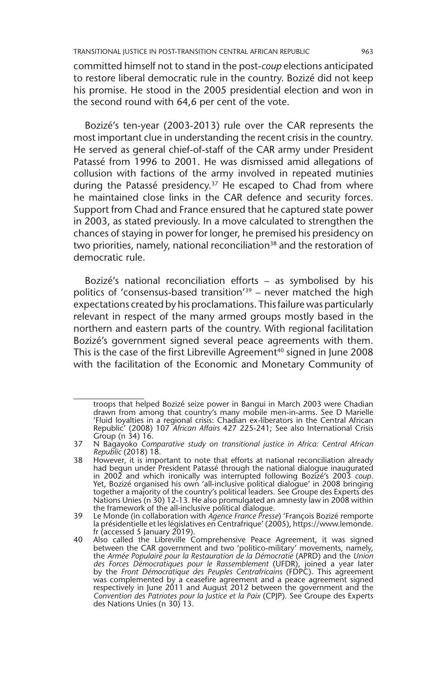committed himself not to stand in the post-*coup* elections anticipated to restore liberal democratic rule in the country. Bozizé did not keep his promise. He stood in the 2005 presidential election and won in the second round with 64,6 per cent of the vote.

Bozizé's ten-year (2003-2013) rule over the CAR represents the most important clue in understanding the recent crisis in the country. He served as general chief-of-staff of the CAR army under President Patassé from 1996 to 2001. He was dismissed amid allegations of collusion with factions of the army involved in repeated mutinies during the Patassé presidency.<sup>37</sup> He escaped to Chad from where he maintained close links in the CAR defence and security forces. Support from Chad and France ensured that he captured state power in 2003, as stated previously. In a move calculated to strengthen the chances of staying in power for longer, he premised his presidency on two priorities, namely, national reconciliation<sup>38</sup> and the restoration of democratic rule.

Bozizé's national reconciliation efforts – as symbolised by his politics of 'consensus-based transition'39 – never matched the high expectations created by his proclamations. This failure was particularly relevant in respect of the many armed groups mostly based in the northern and eastern parts of the country. With regional facilitation Bozizé's government signed several peace agreements with them. This is the case of the first Libreville Agreement<sup>40</sup> signed in June 2008 with the facilitation of the Economic and Monetary Community of

troops that helped Bozizé seize power in Bangui in March 2003 were Chadian drawn from among that country's many mobile men-in-arms. See D Marielle 'Fluid loyalties in a regional crisis: Chadian ex-liberators in the Central African Republic' (2008) 107 *African Affairs* 427 225-241; See also International Crisis Group (n 34) 16.

<sup>37</sup> N Bagayoko *Comparative study on transitional justice in Africa: Central African Republic* (2018) 18.

<sup>38</sup> However, it is important to note that efforts at national reconciliation already had begun under President Patassé through the national dialogue inaugurated in 2002 and which ironically was interrupted following Bozizé's 2003 *coup*. Yet, Bozizé organised his own 'all-inclusive political dialogue' in 2008 bringing together a majority of the country's political leaders. See Groupe des Experts des Nations Unies (n 30) 12-13. He also promulgated an amnesty law in 2008 within the framework of the all-inclusive political dialogue.

<sup>39</sup> Le Monde (in collaboration with *Agence France Presse*) 'François Bozizé remporte la présidentielle et les législatives en Centrafrique' (2005), https://www.lemonde. fr (accessed 5 January 2019).

<sup>40</sup> Also called the Libreville Comprehensive Peace Agreement, it was signed between the CAR government and two 'politico-military' movements, namely, the *Armée Populaire pour la Restauration de la Démocratie* (APRD) and the *Union des Forces Démocratiques pour le Rassemblement* (UFDR), joined a year later by the *Front Démocratique des Peuples Centrafricains* (FDPC). This agreement was complemented by a ceasefire agreement and a peace agreement signed respectively in June 2011 and August 2012 between the government and the *Convention des Patriotes pour la Justice et la Paix* (CPJP). See Groupe des Experts des Nations Unies (n 30) 13.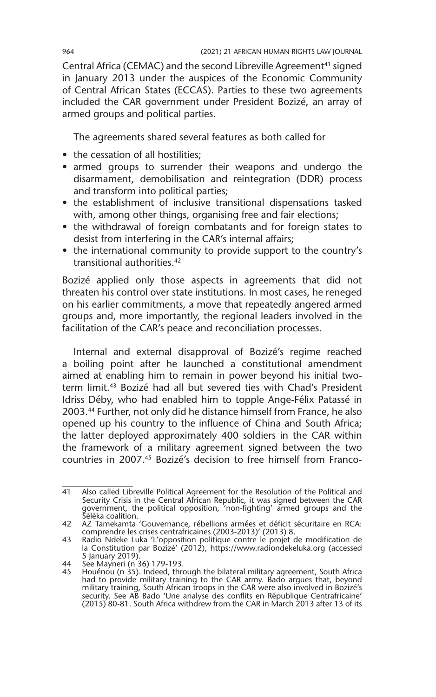Central Africa (CEMAC) and the second Libreville Agreement<sup>41</sup> signed in January 2013 under the auspices of the Economic Community of Central African States (ECCAS). Parties to these two agreements included the CAR government under President Bozizé, an array of armed groups and political parties.

The agreements shared several features as both called for

- the cessation of all hostilities;
- armed groups to surrender their weapons and undergo the disarmament, demobilisation and reintegration (DDR) process and transform into political parties;
- the establishment of inclusive transitional dispensations tasked with, among other things, organising free and fair elections;
- the withdrawal of foreign combatants and for foreign states to desist from interfering in the CAR's internal affairs;
- the international community to provide support to the country's transitional authorities.42

Bozizé applied only those aspects in agreements that did not threaten his control over state institutions. In most cases, he reneged on his earlier commitments, a move that repeatedly angered armed groups and, more importantly, the regional leaders involved in the facilitation of the CAR's peace and reconciliation processes.

Internal and external disapproval of Bozizé's regime reached a boiling point after he launched a constitutional amendment aimed at enabling him to remain in power beyond his initial twoterm limit.43 Bozizé had all but severed ties with Chad's President Idriss Déby, who had enabled him to topple Ange-Félix Patassé in 2003.44 Further, not only did he distance himself from France, he also opened up his country to the influence of China and South Africa; the latter deployed approximately 400 soldiers in the CAR within the framework of a military agreement signed between the two countries in 2007.45 Bozizé's decision to free himself from Franco-

<sup>41</sup> Also called Libreville Political Agreement for the Resolution of the Political and Security Crisis in the Central African Republic, it was signed between the CAR government, the political opposition, 'non-fighting' armed groups and the Séléka coalition.

<sup>42</sup> AZ Tamekamta 'Gouvernance, rébellions armées et déficit sécuritaire en RCA: comprendre les crises centrafricaines (2003-2013)' (2013) 8.

<sup>43</sup> Radio Ndeke Luka 'L'opposition politique contre le projet de modification de la Constitution par Bozizé' (2012), https://www.radiondekeluka.org (accessed 5 January 2019).

<sup>44</sup> See Mayneri (n 36) 179-193. 45 Houénou (n 35). Indeed, through the bilateral military agreement, South Africa had to provide military training to the CAR army. Bado argues that, beyond military training, South African troops in the CAR were also involved in Bozizé's security. See AB Bado 'Une analyse des conflits en République Centrafricaine' (2015) 80-81. South Africa withdrew from the CAR in March 2013 after 13 of its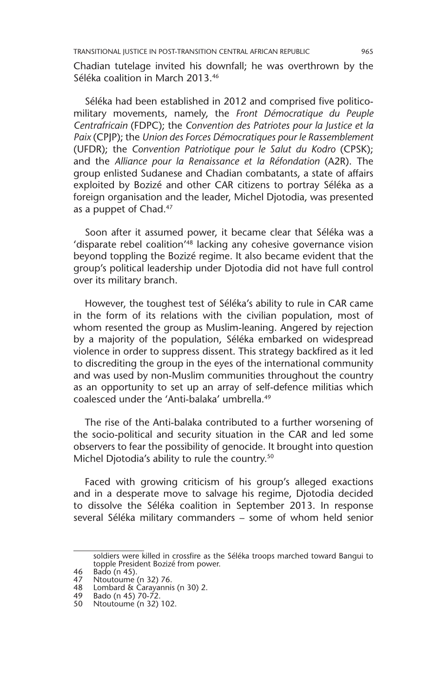Chadian tutelage invited his downfall; he was overthrown by the Séléka coalition in March 2013.46

Séléka had been established in 2012 and comprised five politicomilitary movements, namely, the *Front Démocratique du Peuple Centrafricain* (FDPC); the *Convention des Patriotes pour la Justice et la Paix* (CPJP); the *Union des Forces Démocratiques pour le Rassemblement* (UFDR); the *Convention Patriotique pour le Salut du Kodro* (CPSK); and the *Alliance pour la Renaissance et la Réfondation* (A2R). The group enlisted Sudanese and Chadian combatants, a state of affairs exploited by Bozizé and other CAR citizens to portray Séléka as a foreign organisation and the leader, Michel Djotodia, was presented as a puppet of Chad.<sup>47</sup>

Soon after it assumed power, it became clear that Séléka was a 'disparate rebel coalition<sup>'48</sup> lacking any cohesive governance vision beyond toppling the Bozizé regime. It also became evident that the group's political leadership under Djotodia did not have full control over its military branch.

However, the toughest test of Séléka's ability to rule in CAR came in the form of its relations with the civilian population, most of whom resented the group as Muslim-leaning. Angered by rejection by a majority of the population, Séléka embarked on widespread violence in order to suppress dissent. This strategy backfired as it led to discrediting the group in the eyes of the international community and was used by non-Muslim communities throughout the country as an opportunity to set up an array of self-defence militias which coalesced under the 'Anti-balaka' umbrella.<sup>49</sup>

The rise of the Anti-balaka contributed to a further worsening of the socio-political and security situation in the CAR and led some observers to fear the possibility of genocide. It brought into question Michel Djotodia's ability to rule the country.<sup>50</sup>

Faced with growing criticism of his group's alleged exactions and in a desperate move to salvage his regime, Djotodia decided to dissolve the Séléka coalition in September 2013. In response several Séléka military commanders – some of whom held senior

soldiers were killed in crossfire as the Séléka troops marched toward Bangui to topple President Bozizé from power.

<sup>46</sup> Bado (n 45).<br>47 Ntoutoume (

Ntoutoume (n 32) 76.

<sup>48</sup> Lombard & Carayannis (n 30) 2.

<sup>49</sup> Bado (n 45) 70-72.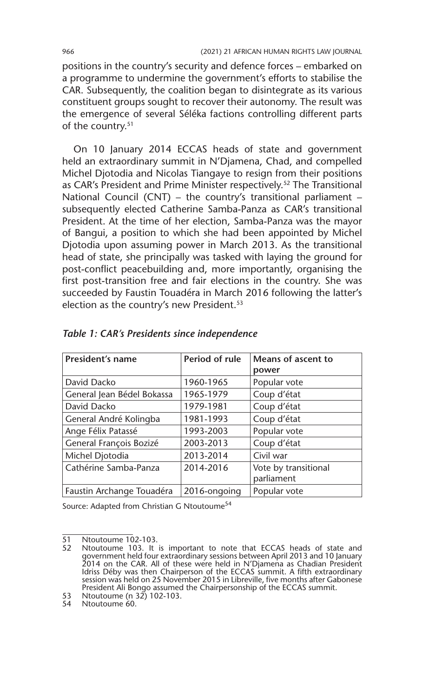positions in the country's security and defence forces – embarked on a programme to undermine the government's efforts to stabilise the CAR. Subsequently, the coalition began to disintegrate as its various constituent groups sought to recover their autonomy. The result was the emergence of several Séléka factions controlling different parts of the country.<sup>51</sup>

On 10 January 2014 ECCAS heads of state and government held an extraordinary summit in N'Djamena, Chad, and compelled Michel Djotodia and Nicolas Tiangaye to resign from their positions as CAR's President and Prime Minister respectively.<sup>52</sup> The Transitional National Council (CNT) – the country's transitional parliament – subsequently elected Catherine Samba-Panza as CAR's transitional President. At the time of her election, Samba-Panza was the mayor of Bangui, a position to which she had been appointed by Michel Djotodia upon assuming power in March 2013. As the transitional head of state, she principally was tasked with laying the ground for post-conflict peacebuilding and, more importantly, organising the first post-transition free and fair elections in the country. She was succeeded by Faustin Touadéra in March 2016 following the latter's election as the country's new President.<sup>53</sup>

| President's name           | Period of rule | Means of ascent to<br>power        |
|----------------------------|----------------|------------------------------------|
| David Dacko                | 1960-1965      | Popular vote                       |
| General Jean Bédel Bokassa | 1965-1979      | Coup d'état                        |
| David Dacko                | 1979-1981      | Coup d'état                        |
| General André Kolingba     | 1981-1993      | Coup d'état                        |
| Ange Félix Patassé         | 1993-2003      | Popular vote                       |
| General François Bozizé    | 2003-2013      | Coup d'état                        |
| Michel Djotodia            | 2013-2014      | Civil war                          |
| Cathérine Samba-Panza      | 2014-2016      | Vote by transitional<br>parliament |
| Faustin Archange Touadéra  | 2016-ongoing   | Popular vote                       |

|  |  |  | Table 1: CAR's Presidents since independence |  |  |  |
|--|--|--|----------------------------------------------|--|--|--|
|--|--|--|----------------------------------------------|--|--|--|

Source: Adapted from Christian G Ntoutoume<sup>54</sup>

53 Ntoutoume (n 32) 102-103.

 $\overline{51}$  Ntoutoume 102-103.<br>52 Ntoutoume 103 It

<sup>52</sup> Ntoutoume 103. It is important to note that ECCAS heads of state and government held four extraordinary sessions between April 2013 and 10 January 2014 on the CAR. All of these were held in N'Djamena as Chadian President Idriss Déby was then Chairperson of the ECCAS summit. A fifth extraordinary session was held on 25 November 2015 in Libreville, five months after Gabonese President Ali Bongo assumed the Chairpersonship of the ECCAS summit.

<sup>54</sup> Ntoutoume 60.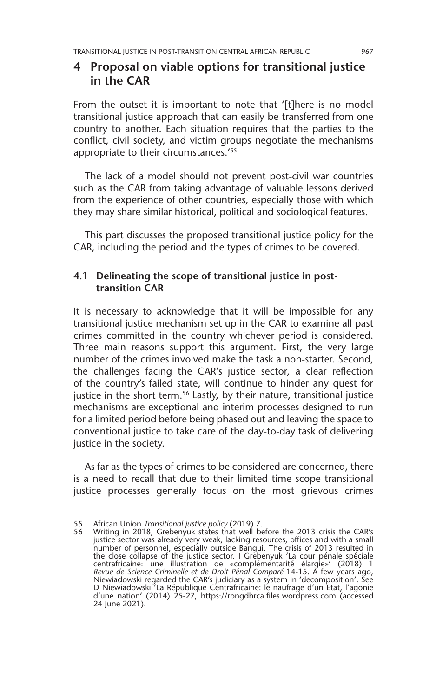# **4 Proposal on viable options for transitional justice in the CAR**

From the outset it is important to note that '[t]here is no model transitional justice approach that can easily be transferred from one country to another. Each situation requires that the parties to the conflict, civil society, and victim groups negotiate the mechanisms appropriate to their circumstances.'55

The lack of a model should not prevent post-civil war countries such as the CAR from taking advantage of valuable lessons derived from the experience of other countries, especially those with which they may share similar historical, political and sociological features.

This part discusses the proposed transitional justice policy for the CAR, including the period and the types of crimes to be covered.

#### **4.1 Delineating the scope of transitional justice in posttransition CAR**

It is necessary to acknowledge that it will be impossible for any transitional justice mechanism set up in the CAR to examine all past crimes committed in the country whichever period is considered. Three main reasons support this argument. First, the very large number of the crimes involved make the task a non-starter. Second, the challenges facing the CAR's justice sector, a clear reflection of the country's failed state, will continue to hinder any quest for justice in the short term.<sup>56</sup> Lastly, by their nature, transitional justice mechanisms are exceptional and interim processes designed to run for a limited period before being phased out and leaving the space to conventional justice to take care of the day-to-day task of delivering justice in the society.

As far as the types of crimes to be considered are concerned, there is a need to recall that due to their limited time scope transitional justice processes generally focus on the most grievous crimes

<sup>55</sup> African Union *Transitional justice policy* (2019) 7.

Writing in 2018, Grebenyuk states that well before the 2013 crisis the CAR's justice sector was already very weak, lacking resources, offices and with a small number of personnel, especially outside Bangui. The crisis of 2013 resulted in the close collapse of the justice sector. I Grebenyuk 'La cour pénale spéciale centrafricaine: une illustration de «complémentarité élargie»′ (2018) 1<br>*Revue de Science Criminelle et de Droit Pénal Comparé* 14-15. A few years ago,<br>Niewiadowski regarded the CAR's judiciary as a system in 'decompositio D Niewiadowski 'La République Centrafricaine: le naufrage d'un Etat, l'agonie d'une nation' (2014) 25-27, https://rongdhrca.files.wordpress.com (accessed 24 June 2021).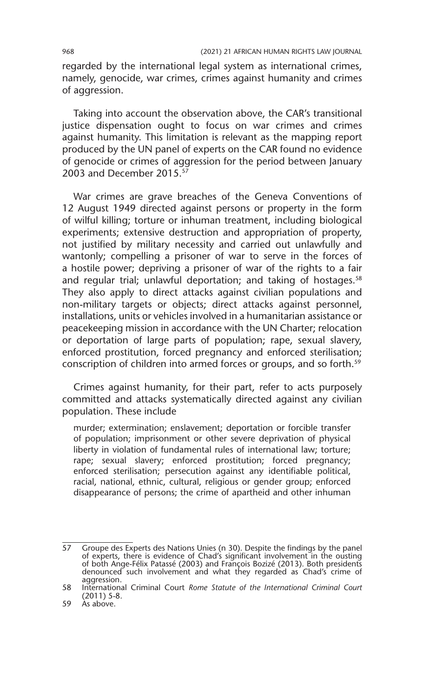regarded by the international legal system as international crimes, namely, genocide, war crimes, crimes against humanity and crimes of aggression.

Taking into account the observation above, the CAR's transitional justice dispensation ought to focus on war crimes and crimes against humanity. This limitation is relevant as the mapping report produced by the UN panel of experts on the CAR found no evidence of genocide or crimes of aggression for the period between January 2003 and December 2015.57

War crimes are grave breaches of the Geneva Conventions of 12 August 1949 directed against persons or property in the form of wilful killing; torture or inhuman treatment, including biological experiments; extensive destruction and appropriation of property, not justified by military necessity and carried out unlawfully and wantonly; compelling a prisoner of war to serve in the forces of a hostile power; depriving a prisoner of war of the rights to a fair and regular trial; unlawful deportation; and taking of hostages.<sup>58</sup> They also apply to direct attacks against civilian populations and non-military targets or objects; direct attacks against personnel, installations, units or vehicles involved in a humanitarian assistance or peacekeeping mission in accordance with the UN Charter; relocation or deportation of large parts of population; rape, sexual slavery, enforced prostitution, forced pregnancy and enforced sterilisation; conscription of children into armed forces or groups, and so forth.59

Crimes against humanity, for their part, refer to acts purposely committed and attacks systematically directed against any civilian population. These include

murder; extermination; enslavement; deportation or forcible transfer of population; imprisonment or other severe deprivation of physical liberty in violation of fundamental rules of international law; torture; rape; sexual slavery; enforced prostitution; forced pregnancy; enforced sterilisation; persecution against any identifiable political, racial, national, ethnic, cultural, religious or gender group; enforced disappearance of persons; the crime of apartheid and other inhuman

 $\overline{57}$  Groupe des Experts des Nations Unies (n 30). Despite the findings by the panel of experts, there is evidence of Chad's significant involvement in the ousting of both Ange-Félix Patassé (2003) and François Bozizé (2013). Both presidents denounced such involvement and what they regarded as Chad's crime of aggression.

<sup>58</sup> International Criminal Court *Rome Statute of the International Criminal Court* (2011) 5-8.

<sup>59</sup> As above.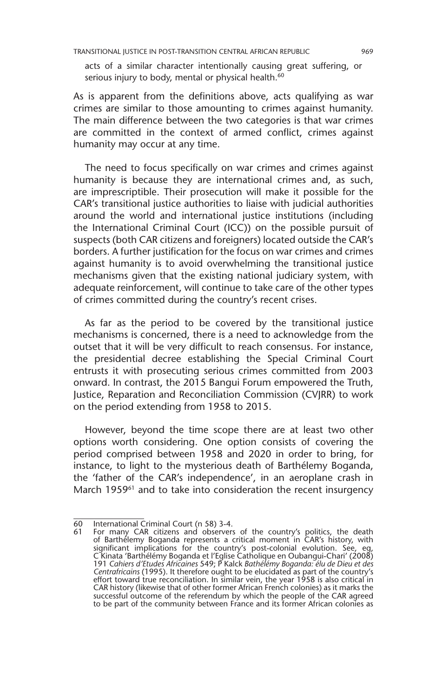acts of a similar character intentionally causing great suffering, or serious injury to body, mental or physical health.<sup>60</sup>

As is apparent from the definitions above, acts qualifying as war crimes are similar to those amounting to crimes against humanity. The main difference between the two categories is that war crimes are committed in the context of armed conflict, crimes against humanity may occur at any time.

The need to focus specifically on war crimes and crimes against humanity is because they are international crimes and, as such, are imprescriptible. Their prosecution will make it possible for the CAR's transitional justice authorities to liaise with judicial authorities around the world and international justice institutions (including the International Criminal Court (ICC)) on the possible pursuit of suspects (both CAR citizens and foreigners) located outside the CAR's borders. A further justification for the focus on war crimes and crimes against humanity is to avoid overwhelming the transitional justice mechanisms given that the existing national judiciary system, with adequate reinforcement, will continue to take care of the other types of crimes committed during the country's recent crises.

As far as the period to be covered by the transitional justice mechanisms is concerned, there is a need to acknowledge from the outset that it will be very difficult to reach consensus. For instance, the presidential decree establishing the Special Criminal Court entrusts it with prosecuting serious crimes committed from 2003 onward. In contrast, the 2015 Bangui Forum empowered the Truth, Justice, Reparation and Reconciliation Commission (CVJRR) to work on the period extending from 1958 to 2015.

However, beyond the time scope there are at least two other options worth considering. One option consists of covering the period comprised between 1958 and 2020 in order to bring, for instance, to light to the mysterious death of Barthélemy Boganda, the 'father of the CAR's independence', in an aeroplane crash in March 1959<sup>61</sup> and to take into consideration the recent insurgency

<sup>60</sup> International Criminal Court (n 58) 3-4.

<sup>61</sup> For many CAR citizens and observers of the country's politics, the death of Barthélemy Boganda represents a critical moment in CAR's history, with significant implications for the country's post-colonial evolution. See, eg, C Kinata 'Barthélémy Boganda et l'Eglise Catholique en Oubangui-Chari' (2008) 191 *Cahiers d'Etudes Africaines* 549; P Kalck *Bathélémy Boganda: élu de Dieu et des Centrafricains* (1995). It therefore ought to be elucidated as part of the country's effort toward true reconciliation. In similar vein, the year 1958 is also critical in CAR history (likewise that of other former African French colonies) as it marks the successful outcome of the referendum by which the people of the CAR agreed to be part of the community between France and its former African colonies as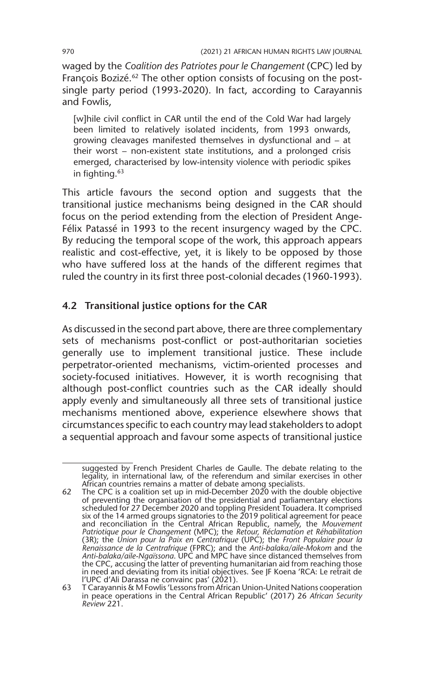waged by the *Coalition des Patriotes pour le Changement* (CPC) led by François Bozizé.<sup>62</sup> The other option consists of focusing on the postsingle party period (1993-2020). In fact, according to Carayannis and Fowlis,

[w]hile civil conflict in CAR until the end of the Cold War had largely been limited to relatively isolated incidents, from 1993 onwards, growing cleavages manifested themselves in dysfunctional and – at their worst – non-existent state institutions, and a prolonged crisis emerged, characterised by low-intensity violence with periodic spikes in fighting.<sup>63</sup>

This article favours the second option and suggests that the transitional justice mechanisms being designed in the CAR should focus on the period extending from the election of President Ange-Félix Patassé in 1993 to the recent insurgency waged by the CPC. By reducing the temporal scope of the work, this approach appears realistic and cost-effective, yet, it is likely to be opposed by those who have suffered loss at the hands of the different regimes that ruled the country in its first three post-colonial decades (1960-1993).

# **4.2 Transitional justice options for the CAR**

As discussed in the second part above, there are three complementary sets of mechanisms post-conflict or post-authoritarian societies generally use to implement transitional justice. These include perpetrator-oriented mechanisms, victim-oriented processes and society-focused initiatives. However, it is worth recognising that although post-conflict countries such as the CAR ideally should apply evenly and simultaneously all three sets of transitional justice mechanisms mentioned above, experience elsewhere shows that circumstances specific to each country may lead stakeholders to adopt a sequential approach and favour some aspects of transitional justice

suggested by French President Charles de Gaulle. The debate relating to the legality, in international law, of the referendum and similar exercises in other African countries remains a matter of debate among specialists.

<sup>62</sup> The CPC is a coalition set up in mid-December 2020 with the double objective of preventing the organisation of the presidential and parliamentary elections scheduled for 27 December 2020 and toppling President Touadera. It comprised six of the 14 armed groups signatories to the 2019 political agreement for peace and reconciliation in the Central African Republic, namely, the *Mouvement Patriotique pour le Changement* (MPC); the *Retour, Réclamation et Réhabilitation* (3R); the *Union pour la Paix en Centrafrique* (UPC); the *Front Populaire pour la Renaissance de la Centrafrique* (FPRC); and the *Anti-balaka/aile-Mokom* and the *Anti-balaka/aile-Ngaïssona*. UPC and MPC have since distanced themselves from the CPC, accusing the latter of preventing humanitarian aid from reaching those in need and deviating from its initial objectives. See JF Koena 'RCA: Le retrait de l'UPC d'Ali Darassa ne convainc pas' (2021).

<sup>63</sup> T Carayannis & M Fowlis 'Lessons from African Union-United Nations cooperation in peace operations in the Central African Republic' (2017) 26 *African Security Review* 221.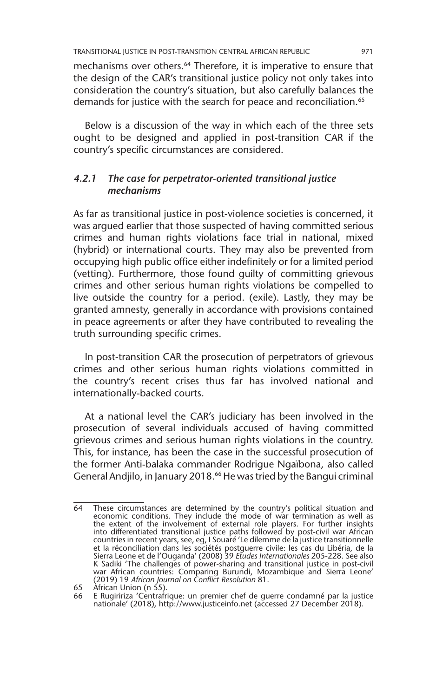mechanisms over others.<sup>64</sup> Therefore, it is imperative to ensure that the design of the CAR's transitional justice policy not only takes into consideration the country's situation, but also carefully balances the demands for justice with the search for peace and reconciliation.<sup>65</sup>

Below is a discussion of the way in which each of the three sets ought to be designed and applied in post-transition CAR if the country's specific circumstances are considered.

## *4.2.1 The case for perpetrator-oriented transitional justice mechanisms*

As far as transitional justice in post-violence societies is concerned, it was argued earlier that those suspected of having committed serious crimes and human rights violations face trial in national, mixed (hybrid) or international courts. They may also be prevented from occupying high public office either indefinitely or for a limited period (vetting). Furthermore, those found guilty of committing grievous crimes and other serious human rights violations be compelled to live outside the country for a period. (exile). Lastly, they may be granted amnesty, generally in accordance with provisions contained in peace agreements or after they have contributed to revealing the truth surrounding specific crimes.

In post-transition CAR the prosecution of perpetrators of grievous crimes and other serious human rights violations committed in the country's recent crises thus far has involved national and internationally-backed courts.

At a national level the CAR's judiciary has been involved in the prosecution of several individuals accused of having committed grievous crimes and serious human rights violations in the country. This, for instance, has been the case in the successful prosecution of the former Anti-balaka commander Rodrigue Ngaïbona, also called General Andjilo, in January 2018.66 He was tried by the Bangui criminal

<sup>64</sup> These circumstances are determined by the country's political situation and economic conditions. They include the mode of war termination as well as the extent of the involvement of external role players. For further insights into differentiated transitional justice paths followed by post-civil war African countries in recent years, see, eg, I Souaré 'Le dilemme de la justice transitionnelle et la réconciliation dans les sociétés postguerre civile: les cas du Libéria, de la Sierra Leone et de l'Ouganda' (2008) 39 *Etudes Internationales* 205-228. See also K Sadiki 'The challenges of power-sharing and transitional justice in post-civil war African countries: Comparing Burundi, Mozambique and Sierra Leone' (2019) 19 *African Journal on Conflict Resolution* 81.

<sup>65</sup> African Union (n 55).

<sup>66</sup> E Rugiririza 'Centrafrique: un premier chef de guerre condamné par la justice nationale' (2018), http://www.justiceinfo.net (accessed 27 December 2018).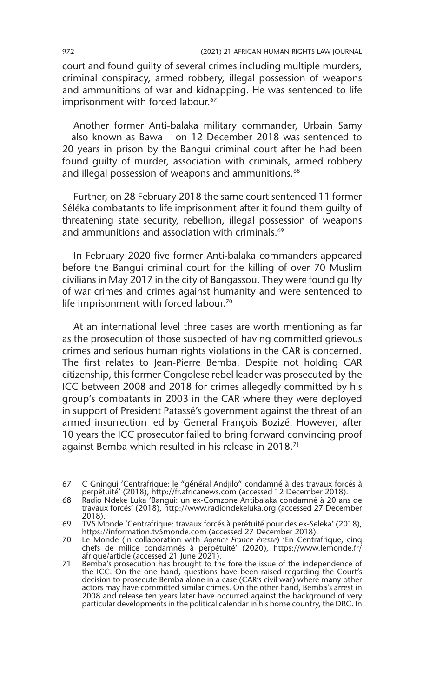court and found guilty of several crimes including multiple murders, criminal conspiracy, armed robbery, illegal possession of weapons and ammunitions of war and kidnapping. He was sentenced to life imprisonment with forced labour.<sup>67</sup>

Another former Anti-balaka military commander, Urbain Samy – also known as Bawa – on 12 December 2018 was sentenced to 20 years in prison by the Bangui criminal court after he had been found guilty of murder, association with criminals, armed robbery and illegal possession of weapons and ammunitions.<sup>68</sup>

Further, on 28 February 2018 the same court sentenced 11 former Séléka combatants to life imprisonment after it found them guilty of threatening state security, rebellion, illegal possession of weapons and ammunitions and association with criminals.<sup>69</sup>

In February 2020 five former Anti-balaka commanders appeared before the Bangui criminal court for the killing of over 70 Muslim civilians in May 2017 in the city of Bangassou. They were found guilty of war crimes and crimes against humanity and were sentenced to life imprisonment with forced labour.<sup>70</sup>

At an international level three cases are worth mentioning as far as the prosecution of those suspected of having committed grievous crimes and serious human rights violations in the CAR is concerned. The first relates to Jean-Pierre Bemba. Despite not holding CAR citizenship, this former Congolese rebel leader was prosecuted by the ICC between 2008 and 2018 for crimes allegedly committed by his group's combatants in 2003 in the CAR where they were deployed in support of President Patassé's government against the threat of an armed insurrection led by General François Bozizé. However, after 10 years the ICC prosecutor failed to bring forward convincing proof against Bemba which resulted in his release in 2018.71

<sup>67</sup> C Gningui 'Centrafrique: le "général Andjilo" condamné à des travaux forcés à perpétuité' (2018), http://fr.africanews.com (accessed 12 December 2018).

<sup>68</sup> Radio Ndeke Luka 'Bangui: un ex-Comzone Antibalaka condamné à 20 ans de travaux forcés' (2018), http://www.radiondekeluka.org (accessed 27 December 2018).

<sup>69</sup> TV5 Monde 'Centrafrique: travaux forcés à perétuité pour des ex-Seleka' (2018), https://information.tv5monde.com (accessed 27 December 2018).

<sup>70</sup> Le Monde (in collaboration with *Agence France Presse*) 'En Centrafrique, cinq chefs de milice condamnés à perpétuité' (2020), https://www.lemonde.fr/ afrique/article (accessed 21 June 2021).

<sup>71</sup> Bemba's prosecution has brought to the fore the issue of the independence of the ICC. On the one hand, questions have been raised regarding the Court's decision to prosecute Bemba alone in a case (CAR's civil war) where many other actors may have committed similar crimes. On the other hand, Bemba's arrest in 2008 and release ten years later have occurred against the background of very particular developments in the political calendar in his home country, the DRC. In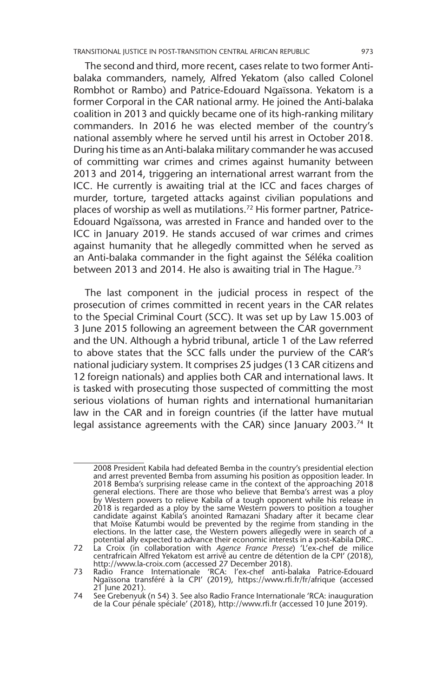The second and third, more recent, cases relate to two former Antibalaka commanders, namely, Alfred Yekatom (also called Colonel Rombhot or Rambo) and Patrice-Edouard Ngaїssona. Yekatom is a former Corporal in the CAR national army. He joined the Anti-balaka coalition in 2013 and quickly became one of its high-ranking military commanders. In 2016 he was elected member of the country's national assembly where he served until his arrest in October 2018. During his time as an Anti-balaka military commander he was accused of committing war crimes and crimes against humanity between 2013 and 2014, triggering an international arrest warrant from the ICC. He currently is awaiting trial at the ICC and faces charges of murder, torture, targeted attacks against civilian populations and places of worship as well as mutilations.72 His former partner, Patrice-Edouard Ngaїssona, was arrested in France and handed over to the ICC in January 2019. He stands accused of war crimes and crimes against humanity that he allegedly committed when he served as an Anti-balaka commander in the fight against the Séléka coalition between 2013 and 2014. He also is awaiting trial in The Hague.<sup>73</sup>

The last component in the judicial process in respect of the prosecution of crimes committed in recent years in the CAR relates to the Special Criminal Court (SCC). It was set up by Law 15.003 of 3 June 2015 following an agreement between the CAR government and the UN. Although a hybrid tribunal, article 1 of the Law referred to above states that the SCC falls under the purview of the CAR's national judiciary system. It comprises 25 judges (13 CAR citizens and 12 foreign nationals) and applies both CAR and international laws. It is tasked with prosecuting those suspected of committing the most serious violations of human rights and international humanitarian law in the CAR and in foreign countries (if the latter have mutual legal assistance agreements with the CAR) since January 2003.<sup>74</sup> It

<sup>2008</sup> President Kabila had defeated Bemba in the country's presidential election and arrest prevented Bemba from assuming his position as opposition leader. In 2018 Bemba's surprising release came in the context of the approaching 2018 general elections. There are those who believe that Bemba's arrest was a ploy by Western powers to relieve Kabila of a tough opponent while his release in 2018 is regarded as a ploy by the same Western powers to position a tougher candidate against Kabila's anointed Ramazani Shadary after it became clear that Moïse Katumbi would be prevented by the regime from standing in the elections. In the latter case, the Western powers allegedly were in search of a potential ally expected to advance their economic interests in a post-Kabila DRC.

<sup>72</sup> La Croix (in collaboration with *Agence France Presse*) 'L'ex-chef de milice centrafricain Alfred Yekatom est arrivé au centre de détention de la CPI' (2018),

http://www.la-croix.com (accessed 27 December 2018). 73 Radio France Internationale 'RCA: l'ex-chef anti-balaka Patrice-Edouard Ngaїssona transféré à la CPI' (2019), https://www.rfi.fr/fr/afrique (accessed 21 June 2021).

<sup>74</sup> See Grebenyuk (n 54) 3. See also Radio France Internationale 'RCA: inauguration de la Cour pénale spéciale' (2018), http://www.rfi.fr (accessed 10 June 2019).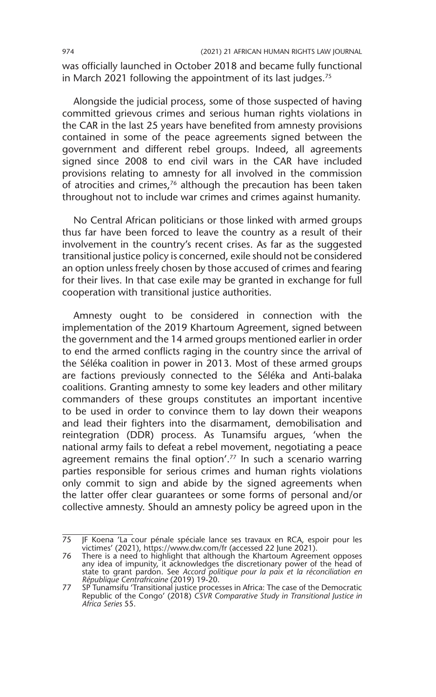was officially launched in October 2018 and became fully functional in March 2021 following the appointment of its last judges.<sup>75</sup>

Alongside the judicial process, some of those suspected of having committed grievous crimes and serious human rights violations in the CAR in the last 25 years have benefited from amnesty provisions contained in some of the peace agreements signed between the government and different rebel groups. Indeed, all agreements signed since 2008 to end civil wars in the CAR have included provisions relating to amnesty for all involved in the commission of atrocities and crimes, $76$  although the precaution has been taken throughout not to include war crimes and crimes against humanity.

No Central African politicians or those linked with armed groups thus far have been forced to leave the country as a result of their involvement in the country's recent crises. As far as the suggested transitional justice policy is concerned, exile should not be considered an option unless freely chosen by those accused of crimes and fearing for their lives. In that case exile may be granted in exchange for full cooperation with transitional justice authorities.

Amnesty ought to be considered in connection with the implementation of the 2019 Khartoum Agreement, signed between the government and the 14 armed groups mentioned earlier in order to end the armed conflicts raging in the country since the arrival of the Séléka coalition in power in 2013. Most of these armed groups are factions previously connected to the Séléka and Anti-balaka coalitions. Granting amnesty to some key leaders and other military commanders of these groups constitutes an important incentive to be used in order to convince them to lay down their weapons and lead their fighters into the disarmament, demobilisation and reintegration (DDR) process. As Tunamsifu argues, 'when the national army fails to defeat a rebel movement, negotiating a peace agreement remains the final option'.<sup>77</sup> In such a scenario warring parties responsible for serious crimes and human rights violations only commit to sign and abide by the signed agreements when the latter offer clear guarantees or some forms of personal and/or collective amnesty. Should an amnesty policy be agreed upon in the

<sup>75</sup> JF Koena 'La cour pénale spéciale lance ses travaux en RCA, espoir pour les victimes' (2021), https://www.dw.com/fr (accessed 22 June 2021).

<sup>76</sup> There is a need to highlight that although the Khartoum Agreement opposes any idea of impunity, it acknowledges the discretionary power of the head of state to grant pardon. See *Accord politique pour la paix et la réconciliation en République Centrafricaine* (2019) 19-20.

<sup>77</sup> SP Tunamsifu 'Transitional justice processes in Africa: The case of the Democratic Republic of the Congo' (2018) *CSVR Comparative Study in Transitional Justice in Africa Series* 55.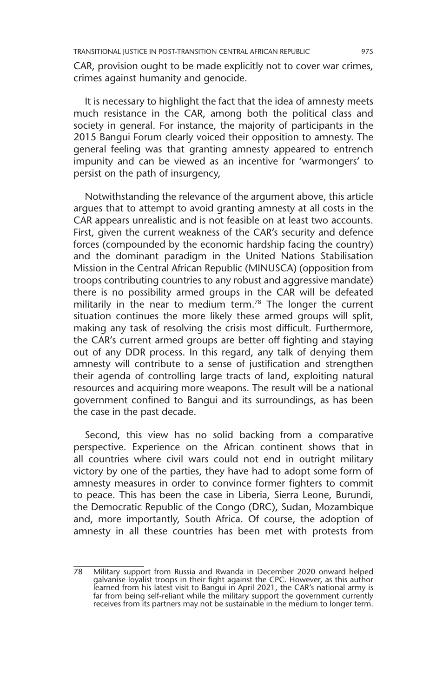CAR, provision ought to be made explicitly not to cover war crimes, crimes against humanity and genocide.

It is necessary to highlight the fact that the idea of amnesty meets much resistance in the CAR, among both the political class and society in general. For instance, the majority of participants in the 2015 Bangui Forum clearly voiced their opposition to amnesty. The general feeling was that granting amnesty appeared to entrench impunity and can be viewed as an incentive for 'warmongers' to persist on the path of insurgency,

Notwithstanding the relevance of the argument above, this article argues that to attempt to avoid granting amnesty at all costs in the CAR appears unrealistic and is not feasible on at least two accounts. First, given the current weakness of the CAR's security and defence forces (compounded by the economic hardship facing the country) and the dominant paradigm in the United Nations Stabilisation Mission in the Central African Republic (MINUSCA) (opposition from troops contributing countries to any robust and aggressive mandate) there is no possibility armed groups in the CAR will be defeated militarily in the near to medium term.<sup>78</sup> The longer the current situation continues the more likely these armed groups will split, making any task of resolving the crisis most difficult. Furthermore, the CAR's current armed groups are better off fighting and staying out of any DDR process. In this regard, any talk of denying them amnesty will contribute to a sense of justification and strengthen their agenda of controlling large tracts of land, exploiting natural resources and acquiring more weapons. The result will be a national government confined to Bangui and its surroundings, as has been the case in the past decade.

Second, this view has no solid backing from a comparative perspective. Experience on the African continent shows that in all countries where civil wars could not end in outright military victory by one of the parties, they have had to adopt some form of amnesty measures in order to convince former fighters to commit to peace. This has been the case in Liberia, Sierra Leone, Burundi, the Democratic Republic of the Congo (DRC), Sudan, Mozambique and, more importantly, South Africa. Of course, the adoption of amnesty in all these countries has been met with protests from

<sup>78</sup> Military support from Russia and Rwanda in December 2020 onward helped galvanise loyalist troops in their fight against the CPC. However, as this author learned from his latest visit to Bangui in April 2021, the CAR's national army is far from being self-reliant while the military support the government currently receives from its partners may not be sustainable in the medium to longer term.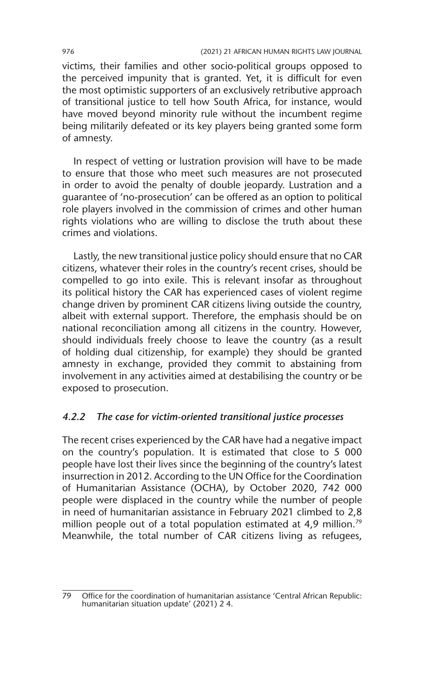victims, their families and other socio-political groups opposed to the perceived impunity that is granted. Yet, it is difficult for even the most optimistic supporters of an exclusively retributive approach of transitional justice to tell how South Africa, for instance, would have moved beyond minority rule without the incumbent regime being militarily defeated or its key players being granted some form of amnesty.

In respect of vetting or lustration provision will have to be made to ensure that those who meet such measures are not prosecuted in order to avoid the penalty of double jeopardy. Lustration and a guarantee of 'no-prosecution' can be offered as an option to political role players involved in the commission of crimes and other human rights violations who are willing to disclose the truth about these crimes and violations.

Lastly, the new transitional justice policy should ensure that no CAR citizens, whatever their roles in the country's recent crises, should be compelled to go into exile. This is relevant insofar as throughout its political history the CAR has experienced cases of violent regime change driven by prominent CAR citizens living outside the country, albeit with external support. Therefore, the emphasis should be on national reconciliation among all citizens in the country. However, should individuals freely choose to leave the country (as a result of holding dual citizenship, for example) they should be granted amnesty in exchange, provided they commit to abstaining from involvement in any activities aimed at destabilising the country or be exposed to prosecution.

#### *4.2.2 The case for victim-oriented transitional justice processes*

The recent crises experienced by the CAR have had a negative impact on the country's population. It is estimated that close to 5 000 people have lost their lives since the beginning of the country's latest insurrection in 2012. According to the UN Office for the Coordination of Humanitarian Assistance (OCHA), by October 2020, 742 000 people were displaced in the country while the number of people in need of humanitarian assistance in February 2021 climbed to 2,8 million people out of a total population estimated at 4,9 million.<sup>79</sup> Meanwhile, the total number of CAR citizens living as refugees,

<sup>79</sup> Office for the coordination of humanitarian assistance 'Central African Republic: humanitarian situation update' (2021) 2 4.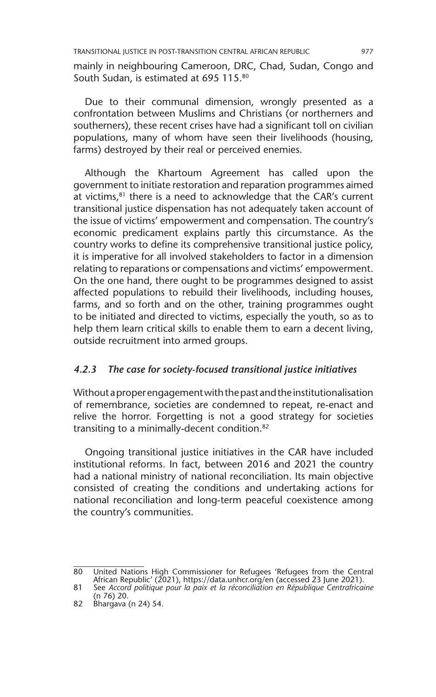TRANSITIONAL JUSTICE IN POST-TRANSITION CENTRAL AFRICAN REPUBLIC 977

mainly in neighbouring Cameroon, DRC, Chad, Sudan, Congo and South Sudan, is estimated at 695 115.80

Due to their communal dimension, wrongly presented as a confrontation between Muslims and Christians (or northerners and southerners), these recent crises have had a significant toll on civilian populations, many of whom have seen their livelihoods (housing, farms) destroyed by their real or perceived enemies.

Although the Khartoum Agreement has called upon the government to initiate restoration and reparation programmes aimed at victims, $81$  there is a need to acknowledge that the CAR's current transitional justice dispensation has not adequately taken account of the issue of victims' empowerment and compensation. The country's economic predicament explains partly this circumstance. As the country works to define its comprehensive transitional justice policy, it is imperative for all involved stakeholders to factor in a dimension relating to reparations or compensations and victims' empowerment. On the one hand, there ought to be programmes designed to assist affected populations to rebuild their livelihoods, including houses, farms, and so forth and on the other, training programmes ought to be initiated and directed to victims, especially the youth, so as to help them learn critical skills to enable them to earn a decent living, outside recruitment into armed groups.

# *4.2.3 The case for society-focused transitional justice initiatives*

Without a proper engagement with the past and the institutionalisation of remembrance, societies are condemned to repeat, re-enact and relive the horror. Forgetting is not a good strategy for societies transiting to a minimally-decent condition.<sup>82</sup>

Ongoing transitional justice initiatives in the CAR have included institutional reforms. In fact, between 2016 and 2021 the country had a national ministry of national reconciliation. Its main objective consisted of creating the conditions and undertaking actions for national reconciliation and long-term peaceful coexistence among the country's communities.

<sup>80</sup> United Nations High Commissioner for Refugees 'Refugees from the Central African Republic' (2021), https://data.unhcr.org/en (accessed 23 June 2021).

<sup>81</sup> See *Accord politique pour la paix et la réconciliation en République Centrafricaine* (n 76) 20.

<sup>82</sup> Bhargava (n 24) 54.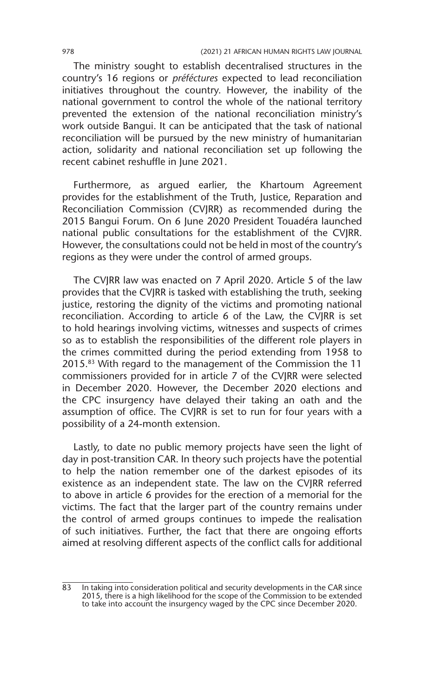978 (2021) 21 AFRICAN HUMAN RIGHTS LAW JOURNAL

The ministry sought to establish decentralised structures in the country's 16 regions or *préféctures* expected to lead reconciliation initiatives throughout the country. However, the inability of the national government to control the whole of the national territory prevented the extension of the national reconciliation ministry's work outside Bangui. It can be anticipated that the task of national reconciliation will be pursued by the new ministry of humanitarian action, solidarity and national reconciliation set up following the recent cabinet reshuffle in June 2021.

Furthermore, as argued earlier, the Khartoum Agreement provides for the establishment of the Truth, Justice, Reparation and Reconciliation Commission (CVJRR) as recommended during the 2015 Bangui Forum. On 6 June 2020 President Touadéra launched national public consultations for the establishment of the CVJRR. However, the consultations could not be held in most of the country's regions as they were under the control of armed groups.

The CVJRR law was enacted on 7 April 2020. Article 5 of the law provides that the CVJRR is tasked with establishing the truth, seeking justice, restoring the dignity of the victims and promoting national reconciliation. According to article 6 of the Law, the CVJRR is set to hold hearings involving victims, witnesses and suspects of crimes so as to establish the responsibilities of the different role players in the crimes committed during the period extending from 1958 to 2015.83 With regard to the management of the Commission the 11 commissioners provided for in article 7 of the CVJRR were selected in December 2020. However, the December 2020 elections and the CPC insurgency have delayed their taking an oath and the assumption of office. The CVJRR is set to run for four years with a possibility of a 24-month extension.

Lastly, to date no public memory projects have seen the light of day in post-transition CAR. In theory such projects have the potential to help the nation remember one of the darkest episodes of its existence as an independent state. The law on the CVJRR referred to above in article 6 provides for the erection of a memorial for the victims. The fact that the larger part of the country remains under the control of armed groups continues to impede the realisation of such initiatives. Further, the fact that there are ongoing efforts aimed at resolving different aspects of the conflict calls for additional

<sup>83</sup> In taking into consideration political and security developments in the CAR since 2015, there is a high likelihood for the scope of the Commission to be extended to take into account the insurgency waged by the CPC since December 2020.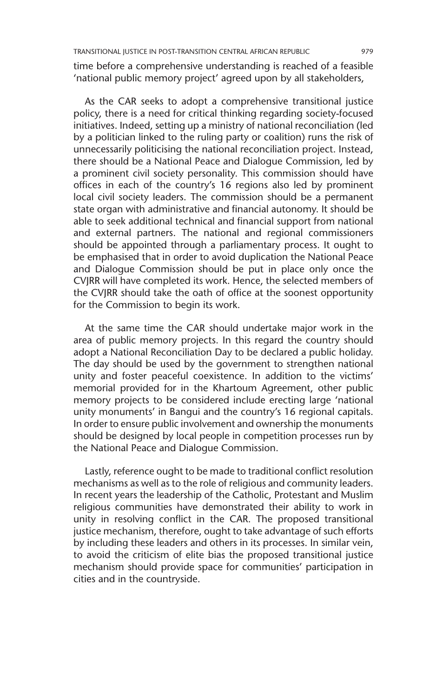time before a comprehensive understanding is reached of a feasible 'national public memory project' agreed upon by all stakeholders,

As the CAR seeks to adopt a comprehensive transitional justice policy, there is a need for critical thinking regarding society-focused initiatives. Indeed, setting up a ministry of national reconciliation (led by a politician linked to the ruling party or coalition) runs the risk of unnecessarily politicising the national reconciliation project. Instead, there should be a National Peace and Dialogue Commission, led by a prominent civil society personality. This commission should have offices in each of the country's 16 regions also led by prominent local civil society leaders. The commission should be a permanent state organ with administrative and financial autonomy. It should be able to seek additional technical and financial support from national and external partners. The national and regional commissioners should be appointed through a parliamentary process. It ought to be emphasised that in order to avoid duplication the National Peace and Dialogue Commission should be put in place only once the CVJRR will have completed its work. Hence, the selected members of the CVJRR should take the oath of office at the soonest opportunity for the Commission to begin its work.

At the same time the CAR should undertake major work in the area of public memory projects. In this regard the country should adopt a National Reconciliation Day to be declared a public holiday. The day should be used by the government to strengthen national unity and foster peaceful coexistence. In addition to the victims' memorial provided for in the Khartoum Agreement, other public memory projects to be considered include erecting large 'national unity monuments' in Bangui and the country's 16 regional capitals. In order to ensure public involvement and ownership the monuments should be designed by local people in competition processes run by the National Peace and Dialogue Commission.

Lastly, reference ought to be made to traditional conflict resolution mechanisms as well as to the role of religious and community leaders. In recent years the leadership of the Catholic, Protestant and Muslim religious communities have demonstrated their ability to work in unity in resolving conflict in the CAR. The proposed transitional justice mechanism, therefore, ought to take advantage of such efforts by including these leaders and others in its processes. In similar vein, to avoid the criticism of elite bias the proposed transitional justice mechanism should provide space for communities' participation in cities and in the countryside.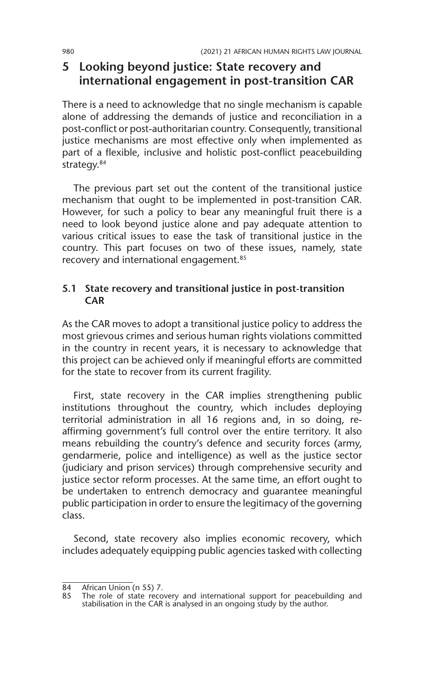# **5 Looking beyond justice: State recovery and international engagement in post-transition CAR**

There is a need to acknowledge that no single mechanism is capable alone of addressing the demands of justice and reconciliation in a post-conflict or post-authoritarian country. Consequently, transitional justice mechanisms are most effective only when implemented as part of a flexible, inclusive and holistic post-conflict peacebuilding strategy.<sup>84</sup>

The previous part set out the content of the transitional justice mechanism that ought to be implemented in post-transition CAR. However, for such a policy to bear any meaningful fruit there is a need to look beyond justice alone and pay adequate attention to various critical issues to ease the task of transitional justice in the country. This part focuses on two of these issues, namely, state recovery and international engagement.<sup>85</sup>

## **5.1 State recovery and transitional justice in post-transition CAR**

As the CAR moves to adopt a transitional justice policy to address the most grievous crimes and serious human rights violations committed in the country in recent years, it is necessary to acknowledge that this project can be achieved only if meaningful efforts are committed for the state to recover from its current fragility.

First, state recovery in the CAR implies strengthening public institutions throughout the country, which includes deploying territorial administration in all 16 regions and, in so doing, reaffirming government's full control over the entire territory. It also means rebuilding the country's defence and security forces (army, gendarmerie, police and intelligence) as well as the justice sector (judiciary and prison services) through comprehensive security and justice sector reform processes. At the same time, an effort ought to be undertaken to entrench democracy and guarantee meaningful public participation in order to ensure the legitimacy of the governing class.

Second, state recovery also implies economic recovery, which includes adequately equipping public agencies tasked with collecting

<sup>84</sup> African Union (n 55) 7.<br>85 The role of state recov

<sup>85</sup> The role of state recovery and international support for peacebuilding and stabilisation in the CAR is analysed in an ongoing study by the author.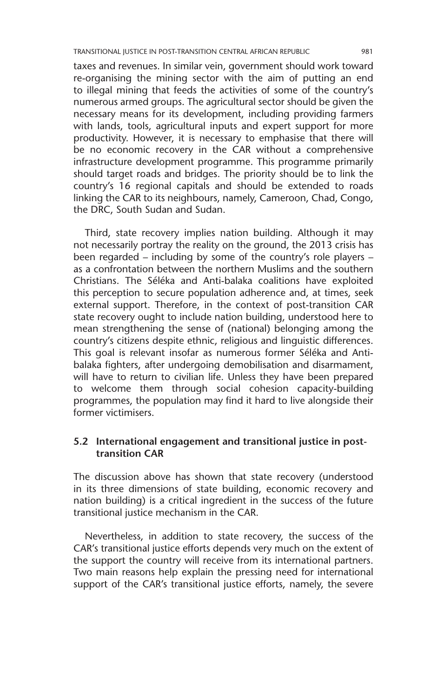taxes and revenues. In similar vein, government should work toward re-organising the mining sector with the aim of putting an end to illegal mining that feeds the activities of some of the country's numerous armed groups. The agricultural sector should be given the necessary means for its development, including providing farmers with lands, tools, agricultural inputs and expert support for more productivity. However, it is necessary to emphasise that there will be no economic recovery in the CAR without a comprehensive infrastructure development programme. This programme primarily should target roads and bridges. The priority should be to link the country's 16 regional capitals and should be extended to roads linking the CAR to its neighbours, namely, Cameroon, Chad, Congo, the DRC, South Sudan and Sudan.

Third, state recovery implies nation building. Although it may not necessarily portray the reality on the ground, the 2013 crisis has been regarded – including by some of the country's role players – as a confrontation between the northern Muslims and the southern Christians. The Séléka and Anti-balaka coalitions have exploited this perception to secure population adherence and, at times, seek external support. Therefore, in the context of post-transition CAR state recovery ought to include nation building, understood here to mean strengthening the sense of (national) belonging among the country's citizens despite ethnic, religious and linguistic differences. This goal is relevant insofar as numerous former Séléka and Antibalaka fighters, after undergoing demobilisation and disarmament, will have to return to civilian life. Unless they have been prepared to welcome them through social cohesion capacity-building programmes, the population may find it hard to live alongside their former victimisers.

## **5.2 International engagement and transitional justice in posttransition CAR**

The discussion above has shown that state recovery (understood in its three dimensions of state building, economic recovery and nation building) is a critical ingredient in the success of the future transitional justice mechanism in the CAR.

Nevertheless, in addition to state recovery, the success of the CAR's transitional justice efforts depends very much on the extent of the support the country will receive from its international partners. Two main reasons help explain the pressing need for international support of the CAR's transitional justice efforts, namely, the severe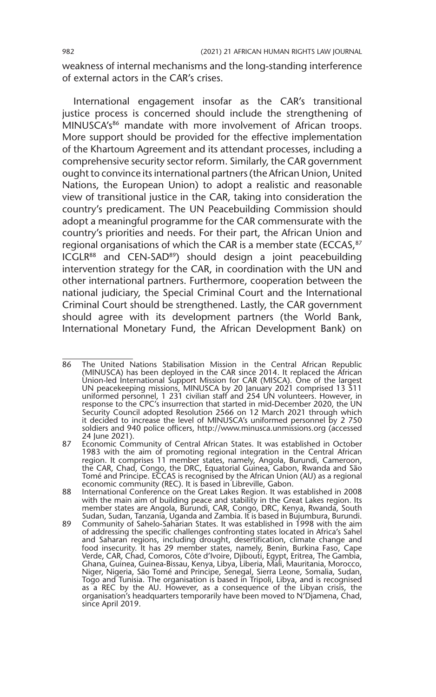weakness of internal mechanisms and the long-standing interference of external actors in the CAR's crises.

International engagement insofar as the CAR's transitional justice process is concerned should include the strengthening of MINUSCA's<sup>86</sup> mandate with more involvement of African troops. More support should be provided for the effective implementation of the Khartoum Agreement and its attendant processes, including a comprehensive security sector reform. Similarly, the CAR government ought to convince its international partners (the African Union, United Nations, the European Union) to adopt a realistic and reasonable view of transitional justice in the CAR, taking into consideration the country's predicament. The UN Peacebuilding Commission should adopt a meaningful programme for the CAR commensurate with the country's priorities and needs. For their part, the African Union and regional organisations of which the CAR is a member state (ECCAS, 87 ICGLR88 and CEN-SAD89) should design a joint peacebuilding intervention strategy for the CAR, in coordination with the UN and other international partners. Furthermore, cooperation between the national judiciary, the Special Criminal Court and the International Criminal Court should be strengthened. Lastly, the CAR government should agree with its development partners (the World Bank, International Monetary Fund, the African Development Bank) on

<sup>86</sup> The United Nations Stabilisation Mission in the Central African Republic (MINUSCA) has been deployed in the CAR since 2014. It replaced the African Union-led International Support Mission for CAR (MISCA). One of the largest UN peacekeeping missions, MINUSCA by 20 January 2021 comprised 13 511 uniformed personnel, 1 231 civilian staff and 254 UN volunteers. However, in response to the CPC's insurrection that started in mid-December 2020, the UN Security Council adopted Resolution 2566 on 12 March 2021 through which it decided to increase the level of MINUSCA's uniformed personnel by 2 750 soldiers and 940 police officers, http://www.minusca.unmissions.org (accessed 24 June 2021).

<sup>87</sup> Economic Community of Central African States. It was established in October 1983 with the aim of promoting regional integration in the Central African region. It comprises 11 member states, namely, Angola, Burundi, Cameroon, the CAR, Chad, Congo, the DRC, Equatorial Guinea, Gabon, Rwanda and São Tomé and Principe. ECCAS is recognised by the African Union (AU) as a regional economic community (REC). It is based in Libreville, Gabon.

<sup>88</sup> International Conference on the Great Lakes Region. It was established in 2008 with the main aim of building peace and stability in the Great Lakes region. Its member states are Angola, Burundi, CAR, Congo, DRC, Kenya, Rwanda, South Sudan, Sudan, Tanzania, Uganda and Zambia. It is based in Bujumbura, Burundi.

<sup>89</sup> Community of Sahelo-Saharian States. It was established in 1998 with the aim of addressing the specific challenges confronting states located in Africa's Sahel and Saharan regions, including drought, desertification, climate change and food insecurity. It has 29 member states, namely, Benin, Burkina Faso, Cape Verde, CAR, Chad, Comoros, Côte d'Ivoire, Djibouti, Egypt, Eritrea, The Gambia, Ghana, Guinea, Guinea-Bissau, Kenya, Libya, Liberia, Mali, Mauritania, Morocco,<br>Niger, Nigeria, São Tomé and Principe, Senegal, Sierra Leone, Somalia, Sudan,<br>Togo and Tunisia. The organisation is based in Tripoli, Libya, a as a REC by the AU. However, as a consequence of the Libyan crisis, the organisation's headquarters temporarily have been moved to N'Djamena, Chad, since April 2019.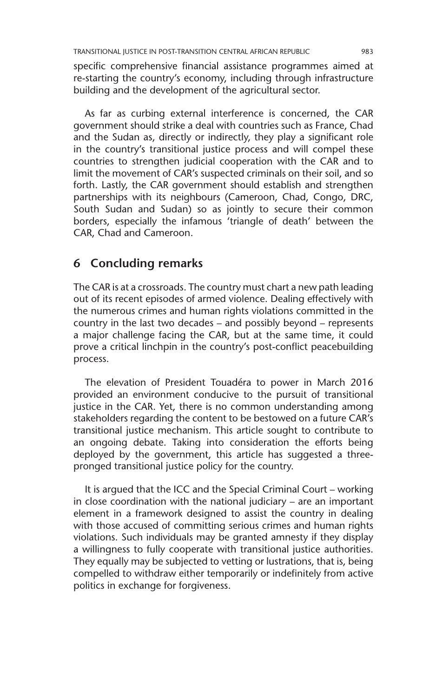specific comprehensive financial assistance programmes aimed at re-starting the country's economy, including through infrastructure building and the development of the agricultural sector.

As far as curbing external interference is concerned, the CAR government should strike a deal with countries such as France, Chad and the Sudan as, directly or indirectly, they play a significant role in the country's transitional justice process and will compel these countries to strengthen judicial cooperation with the CAR and to limit the movement of CAR's suspected criminals on their soil, and so forth. Lastly, the CAR government should establish and strengthen partnerships with its neighbours (Cameroon, Chad, Congo, DRC, South Sudan and Sudan) so as jointly to secure their common borders, especially the infamous 'triangle of death' between the CAR, Chad and Cameroon.

# **6 Concluding remarks**

The CAR is at a crossroads. The country must chart a new path leading out of its recent episodes of armed violence. Dealing effectively with the numerous crimes and human rights violations committed in the country in the last two decades – and possibly beyond – represents a major challenge facing the CAR, but at the same time, it could prove a critical linchpin in the country's post-conflict peacebuilding process.

The elevation of President Touadéra to power in March 2016 provided an environment conducive to the pursuit of transitional justice in the CAR. Yet, there is no common understanding among stakeholders regarding the content to be bestowed on a future CAR's transitional justice mechanism. This article sought to contribute to an ongoing debate. Taking into consideration the efforts being deployed by the government, this article has suggested a threepronged transitional justice policy for the country.

It is argued that the ICC and the Special Criminal Court – working in close coordination with the national judiciary – are an important element in a framework designed to assist the country in dealing with those accused of committing serious crimes and human rights violations. Such individuals may be granted amnesty if they display a willingness to fully cooperate with transitional justice authorities. They equally may be subjected to vetting or lustrations, that is, being compelled to withdraw either temporarily or indefinitely from active politics in exchange for forgiveness.